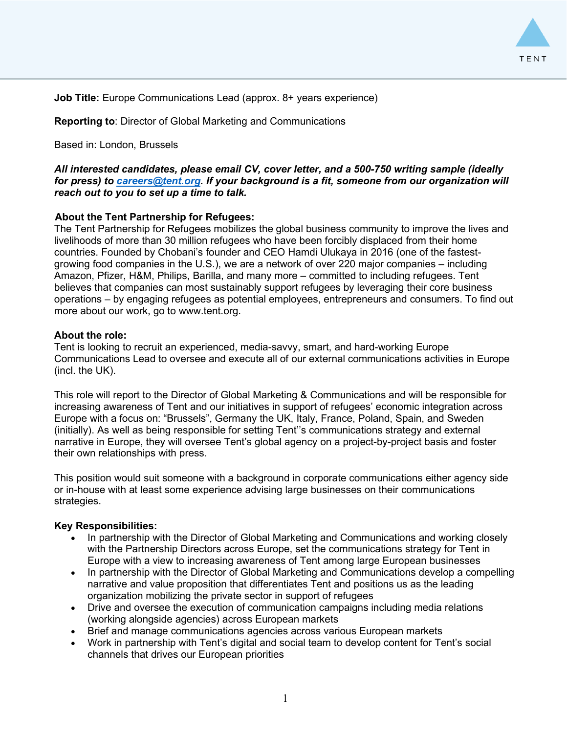

**Job Title:** Europe Communications Lead (approx. 8+ years experience)

**Reporting to**: Director of Global Marketing and Communications

Based in: London, Brussels

*All interested candidates, please email CV, cover letter, and a 500-750 writing sample (ideally for press) to [careers@tent.org.](mailto:careers@tent.org) If your background is a fit, someone from our organization will reach out to you to set up a time to talk.*

# **About the Tent Partnership for Refugees:**

The Tent Partnership for Refugees mobilizes the global business community to improve the lives and livelihoods of more than 30 million refugees who have been forcibly displaced from their home countries. Founded by Chobani's founder and CEO Hamdi Ulukaya in 2016 (one of the fastestgrowing food companies in the U.S.), we are a network of over 220 major companies – including Amazon, Pfizer, H&M, Philips, Barilla, and many more – committed to including refugees. Tent believes that companies can most sustainably support refugees by leveraging their core business operations – by engaging refugees as potential employees, entrepreneurs and consumers. To find out more about our work, go to www.tent.org.

## **About the role:**

Tent is looking to recruit an experienced, media-savvy, smart, and hard-working Europe Communications Lead to oversee and execute all of our external communications activities in Europe (incl. the UK).

This role will report to the Director of Global Marketing & Communications and will be responsible for increasing awareness of Tent and our initiatives in support of refugees' economic integration across Europe with a focus on: "Brussels", Germany the UK, Italy, France, Poland, Spain, and Sweden (initially). As well as being responsible for setting Tent''s communications strategy and external narrative in Europe, they will oversee Tent's global agency on a project-by-project basis and foster their own relationships with press.

This position would suit someone with a background in corporate communications either agency side or in-house with at least some experience advising large businesses on their communications strategies.

## **Key Responsibilities:**

- In partnership with the Director of Global Marketing and Communications and working closely with the Partnership Directors across Europe, set the communications strategy for Tent in Europe with a view to increasing awareness of Tent among large European businesses
- In partnership with the Director of Global Marketing and Communications develop a compelling narrative and value proposition that differentiates Tent and positions us as the leading organization mobilizing the private sector in support of refugees
- Drive and oversee the execution of communication campaigns including media relations (working alongside agencies) across European markets
- Brief and manage communications agencies across various European markets
- Work in partnership with Tent's digital and social team to develop content for Tent's social channels that drives our European priorities